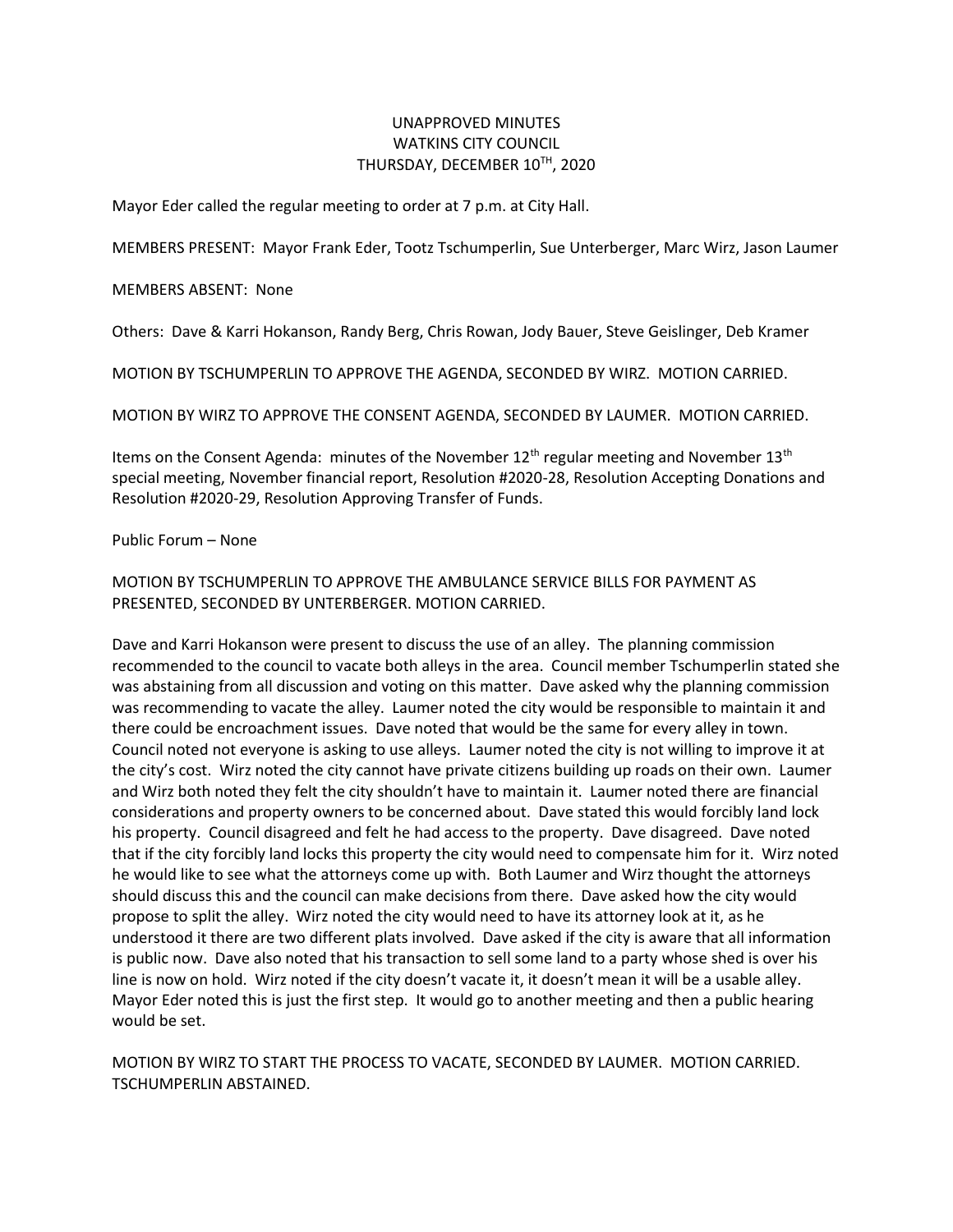## UNAPPROVED MINUTES WATKINS CITY COUNCIL THURSDAY, DECEMBER 10TH, 2020

Mayor Eder called the regular meeting to order at 7 p.m. at City Hall.

MEMBERS PRESENT: Mayor Frank Eder, Tootz Tschumperlin, Sue Unterberger, Marc Wirz, Jason Laumer

MEMBERS ABSENT: None

Others: Dave & Karri Hokanson, Randy Berg, Chris Rowan, Jody Bauer, Steve Geislinger, Deb Kramer

MOTION BY TSCHUMPERLIN TO APPROVE THE AGENDA, SECONDED BY WIRZ. MOTION CARRIED.

MOTION BY WIRZ TO APPROVE THE CONSENT AGENDA, SECONDED BY LAUMER. MOTION CARRIED.

Items on the Consent Agenda: minutes of the November  $12<sup>th</sup>$  regular meeting and November  $13<sup>th</sup>$ special meeting, November financial report, Resolution #2020-28, Resolution Accepting Donations and Resolution #2020-29, Resolution Approving Transfer of Funds.

Public Forum – None

MOTION BY TSCHUMPERLIN TO APPROVE THE AMBULANCE SERVICE BILLS FOR PAYMENT AS PRESENTED, SECONDED BY UNTERBERGER. MOTION CARRIED.

Dave and Karri Hokanson were present to discuss the use of an alley. The planning commission recommended to the council to vacate both alleys in the area. Council member Tschumperlin stated she was abstaining from all discussion and voting on this matter. Dave asked why the planning commission was recommending to vacate the alley. Laumer noted the city would be responsible to maintain it and there could be encroachment issues. Dave noted that would be the same for every alley in town. Council noted not everyone is asking to use alleys. Laumer noted the city is not willing to improve it at the city's cost. Wirz noted the city cannot have private citizens building up roads on their own. Laumer and Wirz both noted they felt the city shouldn't have to maintain it. Laumer noted there are financial considerations and property owners to be concerned about. Dave stated this would forcibly land lock his property. Council disagreed and felt he had access to the property. Dave disagreed. Dave noted that if the city forcibly land locks this property the city would need to compensate him for it. Wirz noted he would like to see what the attorneys come up with. Both Laumer and Wirz thought the attorneys should discuss this and the council can make decisions from there. Dave asked how the city would propose to split the alley. Wirz noted the city would need to have its attorney look at it, as he understood it there are two different plats involved. Dave asked if the city is aware that all information is public now. Dave also noted that his transaction to sell some land to a party whose shed is over his line is now on hold. Wirz noted if the city doesn't vacate it, it doesn't mean it will be a usable alley. Mayor Eder noted this is just the first step. It would go to another meeting and then a public hearing would be set.

MOTION BY WIRZ TO START THE PROCESS TO VACATE, SECONDED BY LAUMER. MOTION CARRIED. TSCHUMPERLIN ABSTAINED.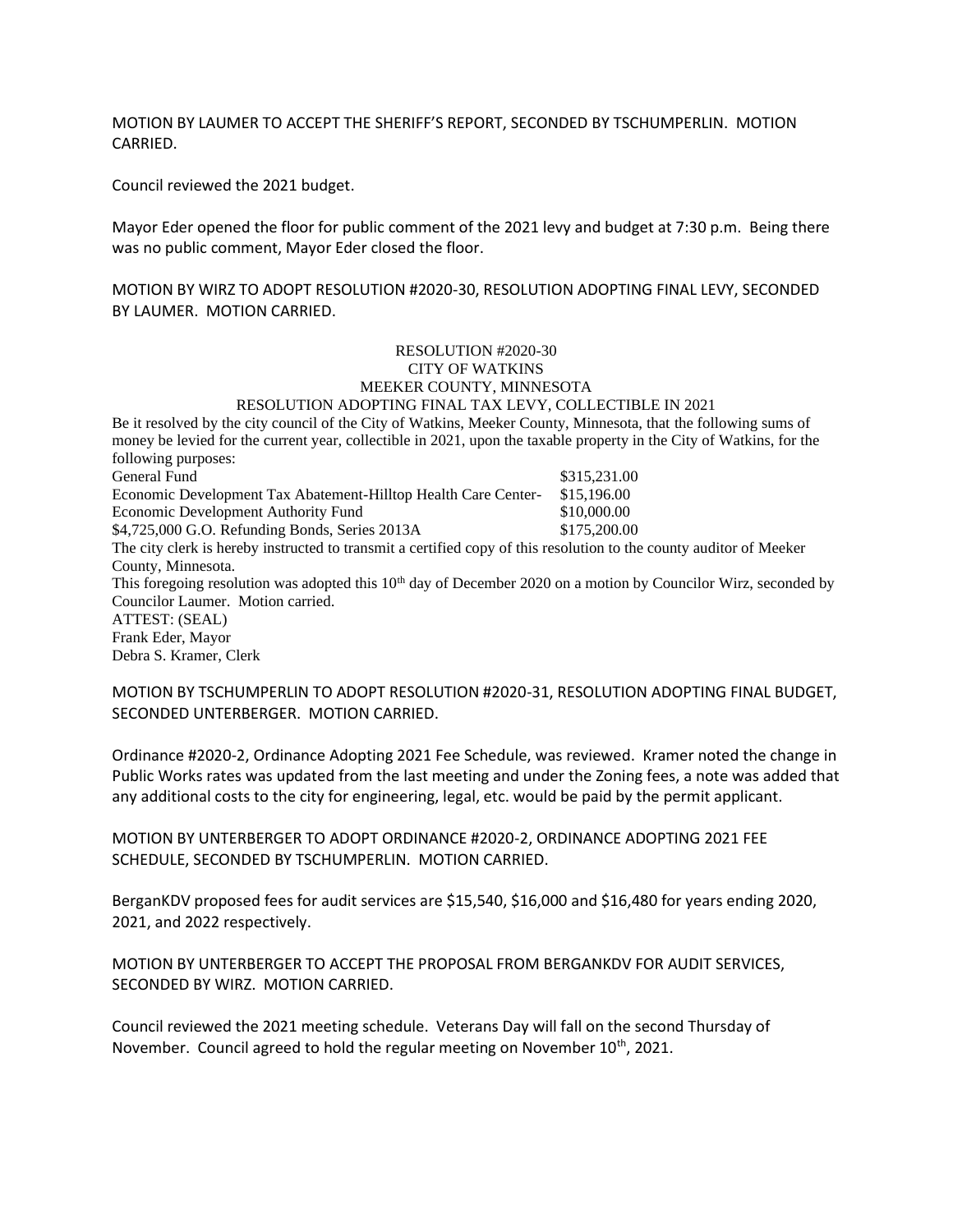MOTION BY LAUMER TO ACCEPT THE SHERIFF'S REPORT, SECONDED BY TSCHUMPERLIN. MOTION CARRIED.

Council reviewed the 2021 budget.

Mayor Eder opened the floor for public comment of the 2021 levy and budget at 7:30 p.m. Being there was no public comment, Mayor Eder closed the floor.

MOTION BY WIRZ TO ADOPT RESOLUTION #2020-30, RESOLUTION ADOPTING FINAL LEVY, SECONDED BY LAUMER. MOTION CARRIED.

## RESOLUTION #2020-30 CITY OF WATKINS MEEKER COUNTY, MINNESOTA RESOLUTION ADOPTING FINAL TAX LEVY, COLLECTIBLE IN 2021

Be it resolved by the city council of the City of Watkins, Meeker County, Minnesota, that the following sums of money be levied for the current year, collectible in 2021, upon the taxable property in the City of Watkins, for the following purposes: General Fund \$315,231.00 Economic Development Tax Abatement-Hilltop Health Care Center- \$15,196.00 Economic Development Authority Fund  $$10,000.00$ \$4,725,000 G.O. Refunding Bonds, Series 2013A \$175,200.00 The city clerk is hereby instructed to transmit a certified copy of this resolution to the county auditor of Meeker County, Minnesota. This foregoing resolution was adopted this  $10<sup>th</sup>$  day of December 2020 on a motion by Councilor Wirz, seconded by Councilor Laumer. Motion carried. ATTEST: (SEAL) Frank Eder, Mayor Debra S. Kramer, Clerk

MOTION BY TSCHUMPERLIN TO ADOPT RESOLUTION #2020-31, RESOLUTION ADOPTING FINAL BUDGET, SECONDED UNTERBERGER. MOTION CARRIED.

Ordinance #2020-2, Ordinance Adopting 2021 Fee Schedule, was reviewed. Kramer noted the change in Public Works rates was updated from the last meeting and under the Zoning fees, a note was added that any additional costs to the city for engineering, legal, etc. would be paid by the permit applicant.

MOTION BY UNTERBERGER TO ADOPT ORDINANCE #2020-2, ORDINANCE ADOPTING 2021 FEE SCHEDULE, SECONDED BY TSCHUMPERLIN. MOTION CARRIED.

BerganKDV proposed fees for audit services are \$15,540, \$16,000 and \$16,480 for years ending 2020, 2021, and 2022 respectively.

MOTION BY UNTERBERGER TO ACCEPT THE PROPOSAL FROM BERGANKDV FOR AUDIT SERVICES, SECONDED BY WIRZ. MOTION CARRIED.

Council reviewed the 2021 meeting schedule. Veterans Day will fall on the second Thursday of November. Council agreed to hold the regular meeting on November 10<sup>th</sup>, 2021.